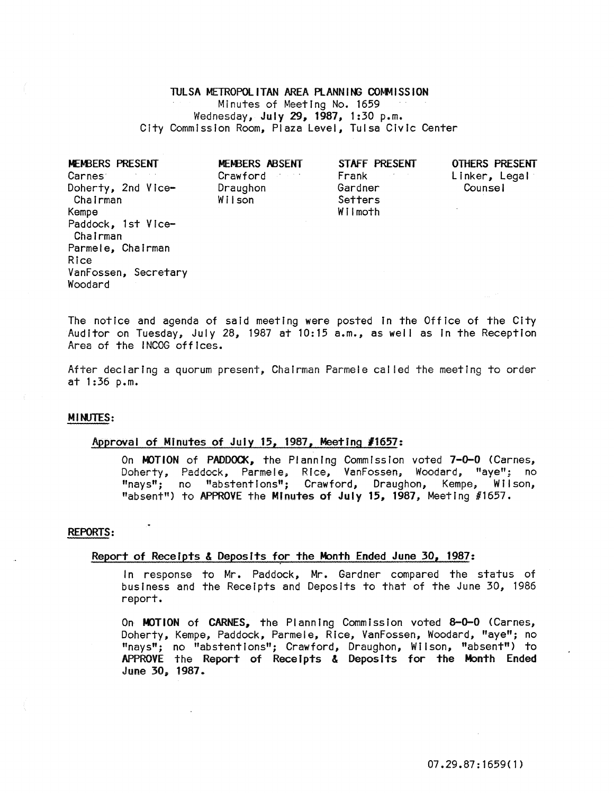#### TULSA METROPOLITAN AREA PLANNING COMMISSION

Minutes of Meeting No. 1659 Wednesday, July 29, 1987, 1:30 p.m. City Commission Room, Plaza Level, Tulsa Civic Center

| MEMBERS PRESENT                 | MEMBERS ABSENT                          | STAFF PRESENT      | OTHERS PR |
|---------------------------------|-----------------------------------------|--------------------|-----------|
| Carnes <sup>®</sup>             | Crawford<br>$\sim 1.7$ , $\sim 10^{-4}$ | Frank              | Linker, L |
| Doherty, 2nd Vice-<br>Chairman  | Draughon<br>Wilson                      | Gardner<br>Setters | Counsel   |
| Kempe                           |                                         | Wilmoth            |           |
| Paddock, 1st Vice-<br>Chairman  |                                         |                    |           |
| Parmele, Chairman               |                                         |                    |           |
| Rice                            |                                         |                    |           |
| VanFossen, Secretary<br>Woodard |                                         |                    |           |

OTHERS PRESENT Linker, Legal

The notice and agenda of said meeting were posted In the Office of the City Auditor on Tuesday, July 28, 1987 at 10:15  $a.m.,$  as well as in the Reception Area of the INCOG offices.

After declaring a quorum present, Chairman Parmele cal led the meeting to order at 1:36 p.m.

# MINJTES:

# ~proval of MInutes of Juiy 15, 1987, Meeting *11657:*

On MOTION of PADDOCK, the Planning Commission voted 7-0-0 (Carnes, Doherty, Paddock, Parmele; Rice, VanFossen, Woodard, "aye"; no "nays"; no "abstentions"; Crawford, Draughon, Kempe, Wilson, "absent") to APPROVE the Minutes of July 15, 1987, Meeting #1657.

#### REPORTS:

# Report of Receipts & Deposits for the Month Ended June 30, 1987:

In response to Mr. Paddock, Mr. Gardner compared the status of business and the Receipts and Deposits to that of the June 30, 1986 report.

On MOTION of CARNES, the Planning Commission voted 8-0-0 (Carnes, Doherty, Kempe, Paddock, Parmele, Rice, VanFossen, Woodard, "aye"; no "nays"; no "abstent Ions"; Crawford, Draughon, W II son, "absent") to APPROVE the Report of Receipts & Deposits for the Month Ended June 30, 1987~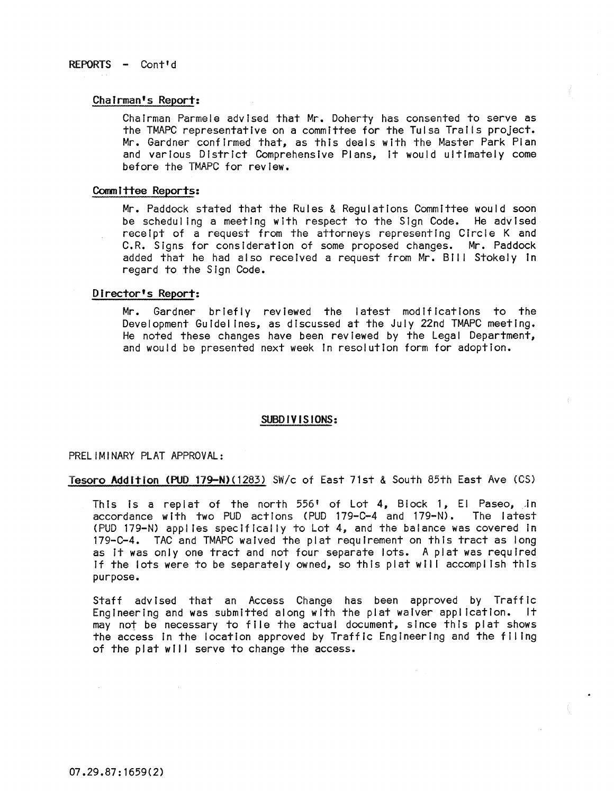# REPORTS - Cont'd

#### Chairman's Report:

Chairman Parmele advised that Mr. Doherty has consented to serve as the TMAPC representative on a committee for the Tulsa Trails project. Mr. Gardner confirmed that, as this deals with the Master Park Plan and various District Comprehensive Plans, it would ultimately come before the TMAPC for review.

#### Committee Reports:

Mr. Paddock stated that the Rules & Regulations Committee would soon be scheduling a meeting with respect to the Sign Code. He advised rece Ipt of a request from the attorneys representing Circle K and C.R. Signs for consideration of some proposed changes. Mr. Paddock added that he had also received a request from Mr. 8111 Stokely In regard to the Sign Code.

#### Director's Report:

Mr. Gardner briefly reviewed the latest modifications to the Development Guldel tnes, as discussed at the July 22nd TMAPC meeting. He noted these changes have been reviewed by the Legal Department, and would be presented next week In resolution form for adoption.

# SUBDIVISIONS:

PRELIMINARY PLAT APPROVAl:

Tesoro Addition (PUD 179-N)(1283) *SWic* of East 71st & South 85th East Ave (CS)

This is a replat of the north 556' of Lot 4, Block 1, El Paseo, in accordance with two PUD actions (PUD 179-C-4 and 179-N). The latest (PUD 179-N) applies speclftcal Iy to Lot 4, and the balance was covered In 179-C-4. TAC and TMAPC waived the plat requirement on this tract as long as it was only one tract and not four separate lots. A plat was required If the lots were to be separately owned, so this plat will accomplish this purpose.

Staff advised that an Access Change has been approved by Traffic Engineering and was submitted along with the plat waiver application. It may not be necessary to file the actual document, since this plat shows the access In the location approved by Traffic Engineering and the filing of the plat will serve to change the access.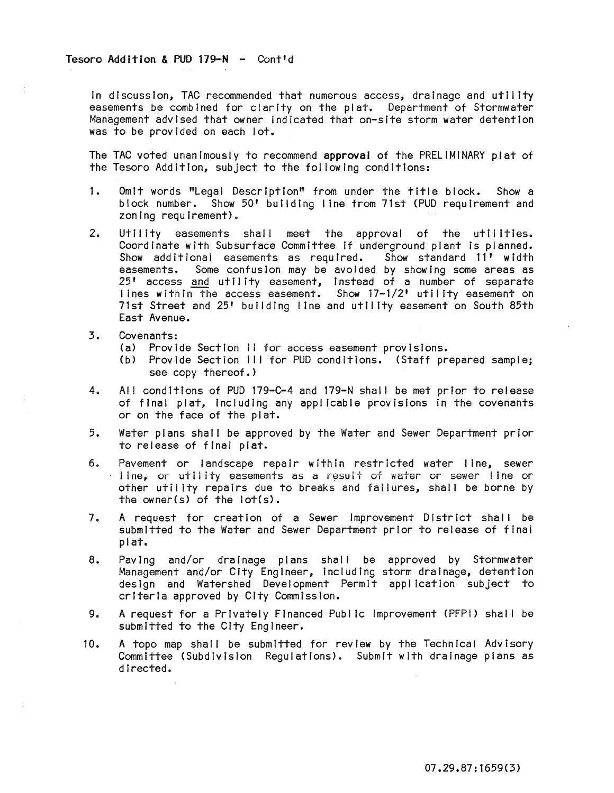In discussion, TAC recommended that numerous access, drainage and utility easements be combined for clarity on the plat. Department of Stormwater Management advised that owner indicated that on-site storm water detention was to be provided on each lot.

The TAC voted unanimously to recommend approval of the PRELIMINARY plat of the Tesoro Addition, subject to the fol lowing conditions:

- 1. Omit words "Legal Description" from under the title block. Show a block number. Show 50' building line from 71st (PUD requirement and zoning requirement).
- 2. Utility easements shall meet the approval of the utilIties. Coordinate with Subsurface Committee if underground plant is planned.<br>Show additional easements as required. Show standard 11' width Show additional easements as required. easements. Some confusion may be avoided by showing some areas as 25' access and utility easement, instead of a number of separate lines within the access easement. Show 17-1/2' utility easement on 71st Street and 25' building line and utility easement on South 85th East Avenue.
- 3. Covenants:
	- (a) Provide Section II for access easement provisions.
	- (b) Provide Section III for PUD conditions. (Staff prepared sample; see copy thereof.)
- 4. All conditions of PUD 179-C-4 and 179-N shall be met prior to release of final plat, including any applicable provisions in the covenants or on the face of the plat.
- 5. Water plans shall be approved by the Water and Sewer Department prior to release of final plat.
- 6. Pavement or landscape repair within restricted water line, sewer line, or utility easements as a result of water or sewer line or other utility repairs due to breaks and failures, shall be borne by the owner(s) of the lot(s).
- 7. A request for creation of a Sewer Improvement District shall be submitted to the Water and Sewer Department prior to release of final plat.
- 8. Paving and/or drainage plans shall be approved by Stormwater Management and/or City Engineer, Including storm drainage, detention design and Watershed Development Permit application subject to criteria approved by City Commission.
- 9. A request for a Privately Financed Public Improvement (PFPI) shall be submitted to the City Engineer.
- 10. A topo map shall be submitted for review by the Technical Advisory Committee (Subdivision Regulations). Submit with drainage plans as directed.

07.29.87:1659(3)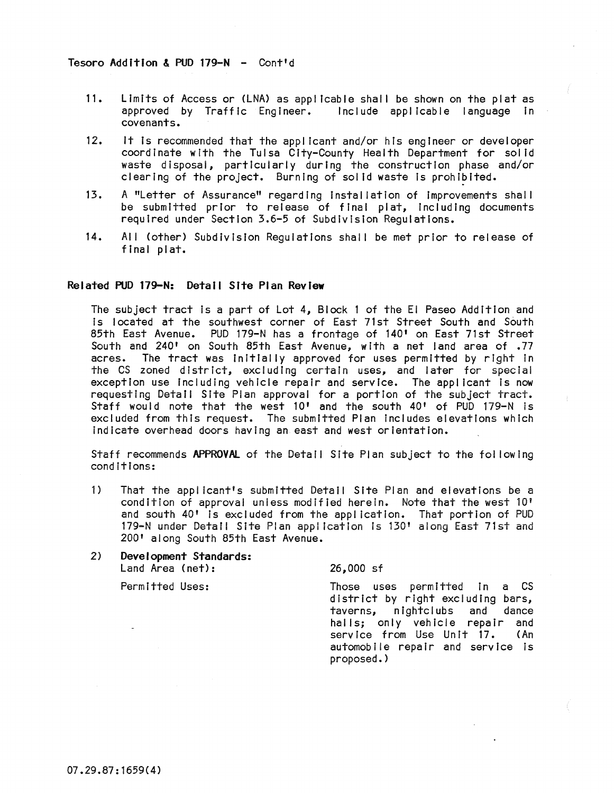- 11. Limits of Access or (LNA) as applicable shall be shown on the plat as approved by Traffic Engineer. Include applicable language In covenants.
- 12. It Is recommended that the applicant and/or his engineer or developer coordinate with the Tulsa City-County Health Department for solid waste disposal, particularly during the construction phase and/or clearing of the project. Burning of solid waste is prohibited.
- 13. A "Letter of Assurance" regarding Installation of Improvements shall be submitted prior to release of final plat, including documents required under Section 3.6-5 of Subdivision Regulations.
- 14. All (other) Subdivision Regulations shall be met prior to release of final plat.

# Related PUD 179-N: Detail Site Plan Review

The subject tract Is a part of Lot 4, Block 1 of the EI Paseo Addition and Is located at the southwest corner of East 71st Street South and South 85th East Avenue. PUD 179-N has a frontage of 140' on East 71st Street South and 240' on South 85th East Avenue, with a net land area of .77 acres. The tract was initially approved for uses permitted by right in The tract was initially approved for uses permitted by right in the CS zoned district, excluding certain uses, and later for special exception use including vehicle repair and service. The applicant is now requesting Detail Site Pian approval for a portion of the subject tract. Staff would note that the west 10' and the south 40' of PUD 179-N is excluded from this request. The submitted Plan includes elevations which Indicate overhead doors having an east and west orientation.

Staff recommends APPROVAL of the Detail Site Plan subject to the fol lowing conditions:

- 1) That the applicant's submitted Detail Site Plan and elevations be a condition of approval unless modified herein. Note that the west 10' and south 40' Is excluded from the application. That portion of PUD 179-N under Detail Site Plan application Is 130' along East 71st and 200' along South 85th East Avenue.
- 2) Development Standards: Land Area (net):

26,000 sf

Permitted Uses:

Those uses permitted in a CS district by right excluding bars, taverns, nightclubs and dance halls; only vehicle repair and<br>service from Use Unit 17. (An service from Use Unit 17. automobile repair and service is proposed.)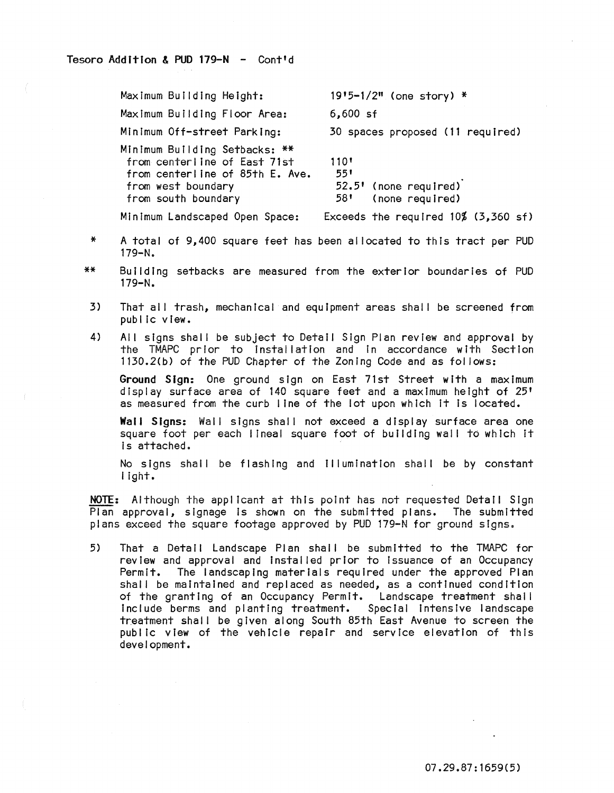| Maximum Building Height:                                                                                                                      | $19'5 - 1/2''$ (one story) *                                    |
|-----------------------------------------------------------------------------------------------------------------------------------------------|-----------------------------------------------------------------|
| Maximum Building Floor Area:                                                                                                                  | $6,600$ sf                                                      |
| Minimum Off-street Parking:                                                                                                                   | 30 spaces proposed (11 required)                                |
| Minimum Building Setbacks: **<br>from centerline of East 71st<br>from centerline of 85th E. Ave.<br>from west boundary<br>from south boundary | 110'<br>551<br>52.5' (none required)<br>(none required)<br>58 L |
| Minimum Landscaped Open Space:                                                                                                                | Exceeds the required $10\%$ (3,360 sf)                          |

- \* A total of 9,400 square feet has been al located to this tract per PUD 179-N.
- \*\* Building setbacks are measured from the exterior boundaries of PUD 179-N.
- 3) That all trash, mechanical and equipment areas shall be screened from public view.
- 4) All signs shall be subject to Detail Sign Plan review and approval by the TMAPC prIor to Installation and in accordance with Section 1130.2(b) of the PUD Chapter of the Zoning Code and as fol lows:

Ground Sign: One ground sign on East 71st Street with a maximum display surface area of 140 square feet and a maximum height of 25' as measured from the curb line of the lot upon which It is located.

Wall Signs: Wall signs shall not exceed a display surface area one square foot per each lineal square foot of building wall to which it is attached.

No signs shall be flashing and Illumination shall be by constant light.

NOTE: Although the applicant at this point has not requested Detail Sign Plan approval, slgnage Is shown on the submitted plans. The submitted plans exceed the square footage approved by PUD 179-N for ground signs.

5) That a Detail Landscape Plan shall be submitted to the TMAPC for review and approval and Installed prior to Issuance of an Occupancy Permit. The landscaping materials required under the approved Plan shall be maintained and replaced as needed, as a continued condition of the granting of an Occupancy Permit. Landscape treatment shall Include berms and planting treatment. Special intensive landscape treatment shall be given along South 85th East Avenue to screen the public view of the vehicle repair and service elevation of this development.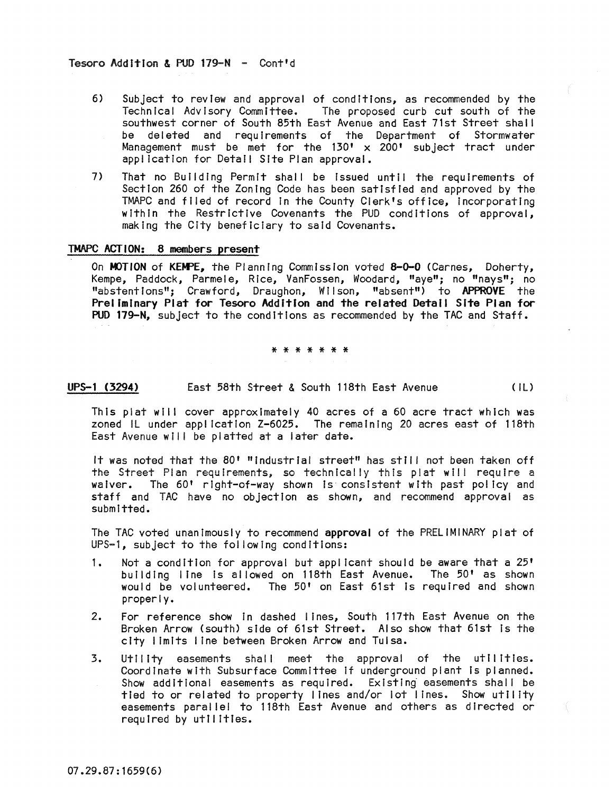- 6) Subject to review and approval of conditions, as recommended by the Technical Advisory Committee. The proposed curb cut south of the The proposed curb cut south of the southwest corner of South 85th East Avenue and East 71st Street shall be deleted and requirements of the Department of Stormwater Management must be met for the 130<sup>'</sup> x 200' subject tract under application for Detail Site Plan approval.
- 7} That no Building Permit shall be Issued until the requirements of Section 260 of the Zoning Code has been satisfied and approved by the TMAPC and filed of record In the County Clerk's office, Incorporating within the Restrictive Covenants the PUD conditions of approval, making the City beneficiary to said Covenants.

# TMAPC ACTION: 8 members present

On MOTION of KEMPE, the Planning Commission voted 8-0-0 (Carnes, Doherty, Kempe, Paddock, Parmele, Rice, VanFossen, Woodard, "aye"; no "nays"; no "abstentions"; Crawford, Draughon, Wilson, "absent") to APPROVE the Preliminary Plat for Tesoro Addition and the related Detail Site Plan for PUD 179-N, subject to the conditions as recommended by the TAC and Staff.

#### \* \* \* \* \* \* \*

# UPS-1 (3294) East 58th Street & South 118th East Avenue (IL)

This plat will cover approximately 40 acres of a 60 acre tract which was zoned IL under application Z-6025. The remaining 20 acres east of 118th East Avenue will be platted at a later date.

It was noted that the 80' "Industrial street" has still not been taken off the Street Plan requirements, so technically this plat will require a waiver. The 60' right-of-way shown Is consistent with past polIcy and staff and TAC have no objection as shown, and recommend approval as submitted.

The TAC voted unanimously to recommend approval of the PRELIMINARY plat of UPS-l, subject to the fol lowing conditions:

- 1. Not a condition for approval but applicant should be aware that a 25' building line is allowed on 118th East Avenue. The 50' as shown would be volunteered. The 50' on East 61st is required and shown properly.
- 2. For reference show in dashed lines, South 117th East Avenue on the Broken Arrow (south) side of 61st Street. Also show that 61st Is the city I imlts line between Broken Arrow and Tulsa.
- 3. Utility easements shall meet the approval of the utilities. Coordinate with Subsurface Committee if underground plant is planned. Show additional easements as required. Existing easements shall be tied to or related to property lines and/or lot lines. Show utility easements parallel to 118th East Avenue and others as directed or required by utilities.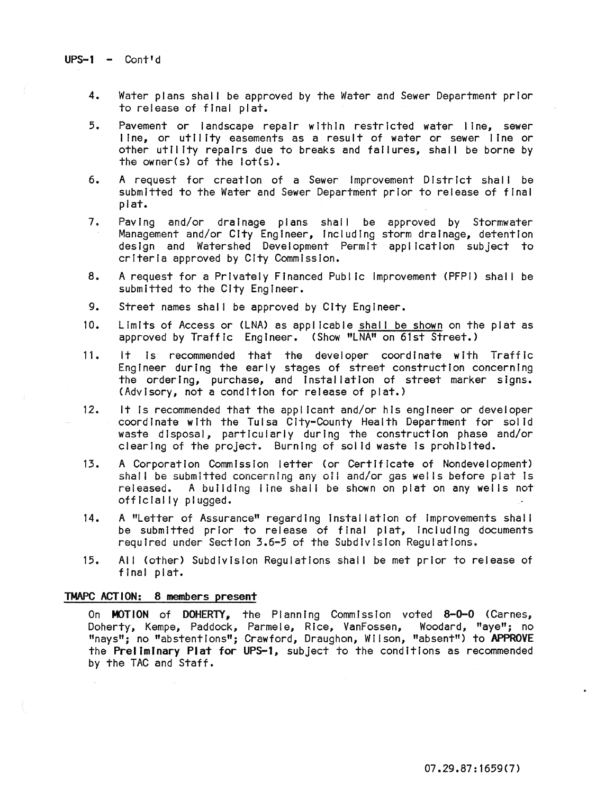- 4. Water plans shall be approved by the Water and Sewer Department prior to release of final plat.
- 5. Pavement or landscape repair within restricted water line, sewer line, or utility easements as a result of water or sewer line or other utll tty repairs due to breaks and failures, shall be borne by the owner(s) of the  $lot(s)$ .
- 6. A request for creation of a Sewer Improvement District shall be submitted to the Water and Sewer Department prior to release of final plat.
- 7. Paving and/or drainage plans shall be approved by Stormwater Management and/or City Engineer, Including storm drainage, detention design and Watershed Development Permit application subject to crIteria approved by City Commission.
- 8. A request for a Privately Financed Public Improvement (PFPI) shall be submitted to the City Engineer.
- 9. Street names shall be approved by City Engineer.
- 10. Limits of Access or (LNA) as applicable shall be shown on the plat as approved by Traffic Engineer. (Show "LNA" on 61st Street.)
- 11. it Is recommended that the developer coordinate with Traffic Engineer during the early stages of street construction concerning the ordering, purchase, and Installation of street marker signs. (AdvIsory, not a condition for release of plat.)
- 12. It Is recommended that the applicant and/or his engineer or developer coordinate with the Tulsa City-County Health Department for solid waste disposal, particularly during the construction phase and/or clearing of the project. Burning of solid waste Is prohibited.
- 13. A Corporation Commission letter (or Certificate of Nondevelopment) shall be submitted concerning any oil and/or gas wells before plat is released. A building line shall be shown on plat on any wells not officially plugged.
- 14. A "Letter of Assurance" regarding Instal latfon of improvements shall be submitted prior to release of final plat, including documents required under Section 3.6-5 of the Subdivision Regulations.
- 15. All (other) SubdivisIon Regulations shal I be met prior to release of final plat.

## TMAPC ACTION: 8 members present

On MOTION of DOHERTY, the Planning Commission voted 8-0-0 (Carnes, Doherty, Kempe, Paddock, Parmele, Rice, VanFossen, Woodard, "aye"; no "nays"; no "abstentions"; Crawford, Draughon, Wilson, "absent") to APPROVE the Preliminary Plat for UPS-1, subject to the conditions as recommended by the TAC and Staff.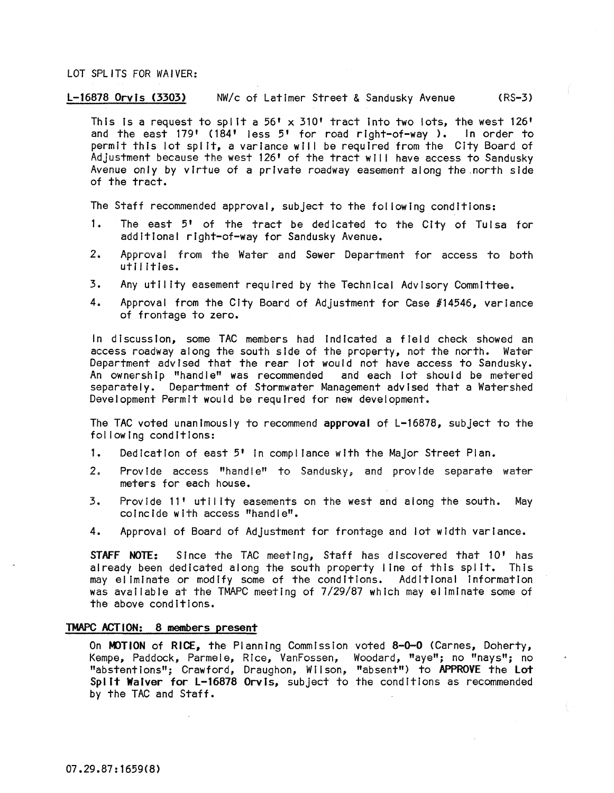#### LOT SPLITS FOR WAIVER:

#### l-16878 Orvis (3303) NW/c of Latimer Street & Sandusky Avenue (RS-3)

This is a request to split a 56'  $\times$  310' tract into two lots, the west 126' and the east 179' (184' less 5' for road right-of-way ). In order to permit this lot split, a variance will be required from the City Board of Adjustment because the west 126' of the tract will have access to Sandusky Avenue only by virtue of a private roadway easement along the.north side of the tract.

The Staff recommended approval, subject to the following conditions:

- 1. The east 5' of the tract be dedicated to the City of Tulsa for additional right-of-way for Sandusky Avenue.
- 2. Approval from the Water and Sewer Department for access to both utilities.
- 3. Any utility easement required by the Technical Advisory Committee.
- 4. Approval from the City Board of Adjustment for Case #14546, variance of frontage to zero.

In discussion, some TAC members had Indicated a field check showed an access roadway along the south side of the property, not the north. Water Department advised that the rear lot would not have access to Sandusky. An ownership "handle" was recommended and each lot should be metered separately. Department of Stormwater Management advised that a Watershed Development Permit would be required for new development.

The TAC voted unanimously to recommend approval of L-16878, subject to the fol lowing conditions:

- 1. Dedication of east 5' In compl lance with the Major Street Plan.
- 2. Provide access "handle" to Sandusky, and provide separate water meters for each house.
- 3. Provide 11' utility easements on the west and along the south. May coincide with access "handle".
- 4. Approval of Board of Adjustment for frontage and lot width variance.

STAFF NOTE: Since the TAC meeting, Staff has discovered that 10' has already been dedicated along the south property I ine of this spl It. This may eliminate or modify some of the conditions. Additional information was available at the TMAPC meeting of 7/29/87 which may eliminate some of the above conditions.

## TMAPC ACTION: 8 members present

On MOTION of RICE, the Planning Commission voted 8-0-0 (Carnes, Doherty, Kempe, Paddock, Parmele, Rice, VanFossen, Woodard, "aye"; no "nays"; no "abstentions"; Crawford, Draughon, WII son, "absent") to APPROVE the lot Split Waiver for L-16878 Orvis, subject to the conditions as recommended by the TAC and Staff.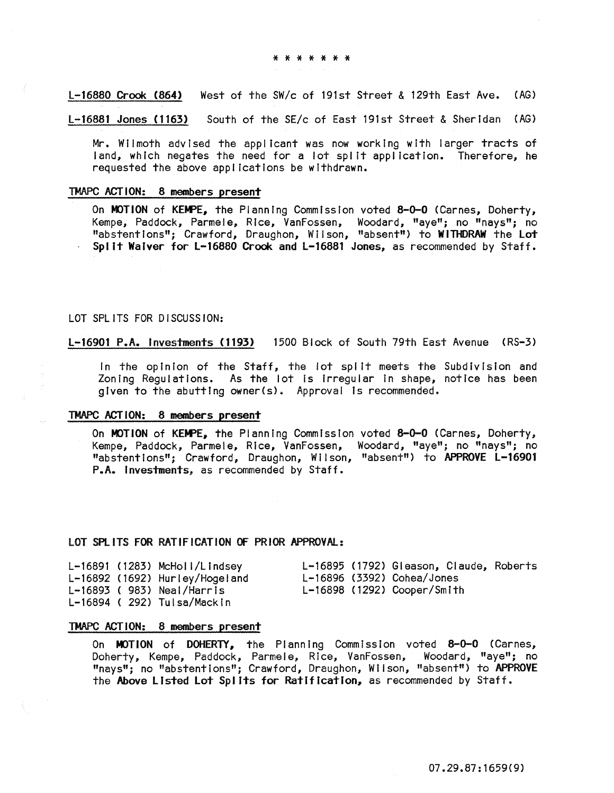L-16880 Crook (864) West of the SW/c of 191st Street & 129th East Ave. (AG)

L-16881 Jones (1163) South of the SE/c of East 191st Street & Sheridan (AG)

Mr. Wilmoth advised the applicant was now working with larger tracts of land, which negates the need for a lot split application. Therefore, he requested the above applications be withdrawn.

#### TMAPC ACTION: 8 members present

On MOTION of KEMPE, the Planning Commission voted 8-0-0 (Carnes, Doherty, Kempe, Paddock, Parmele, Rice, VanFossen, Woodard, "aye"; no "nays"; no "abstentions"; Crawford, Draughon, Wilson, "absent") to WITHDRAW the Lot Spl it Waiver for L-16880 Crook and L-16881 Jones, as recommended by Staff.

## LOT SPLITS FOR DISCUSSION:

L-16901 P.A. Investments (1193) 1500 Block of South 79th East Avenue (RS-3)

In the opinion of the Staff, the lot split meets the Subdivision and Zoning Regulations. As the lot Is Irregular In shape, notice has been given to the abutting owner(s). Approval is recommended.

#### TMAPC ACTION: 8 members present

On MOTION of KEMPE, the Planning Commission voted 8-0-0 (Carnes, Doherty, Kempe, Paddock, Parmele, Rice, VanFossen, Woodard, "aye"; no "nays"; no "abstent Ions"; Crawford, Draughon, W II son, "absent") to APPROVE L-16901 P.A. Investments, as recommended by Staff.

# LOT SPLITS FOR RATIFICATION OF PRIOR APPROVAL:

|  | $L-16891$ (1283) McHoll/Lindsey |  | L-16895 (1792) Gleason, Claude, Roberts |  |
|--|---------------------------------|--|-----------------------------------------|--|
|  | L-16892 (1692) Hurley/Hogeland  |  | L-16896 (3392) Cohea/Jones              |  |
|  | $L-16893$ (983) Neal/Harris     |  | L-16898 (1292) Cooper/Smith             |  |
|  | L-16894 (292) Tulsa/Mackin      |  |                                         |  |

# TMAPC ACTION: 8 members present

On MOTION of DOHERTY, the Planning Commission voted 8-0-0 (Carnes, Doherty, Kempe, Paddock, Parmele, Rice, VanFossen, Woodard, "aye"; no "nays"; no "abstentions"; Crawford, Draughon, Wilson, "absent") to APPROVE the Above Listed Lot Splits for Ratification, as recommended by Staff.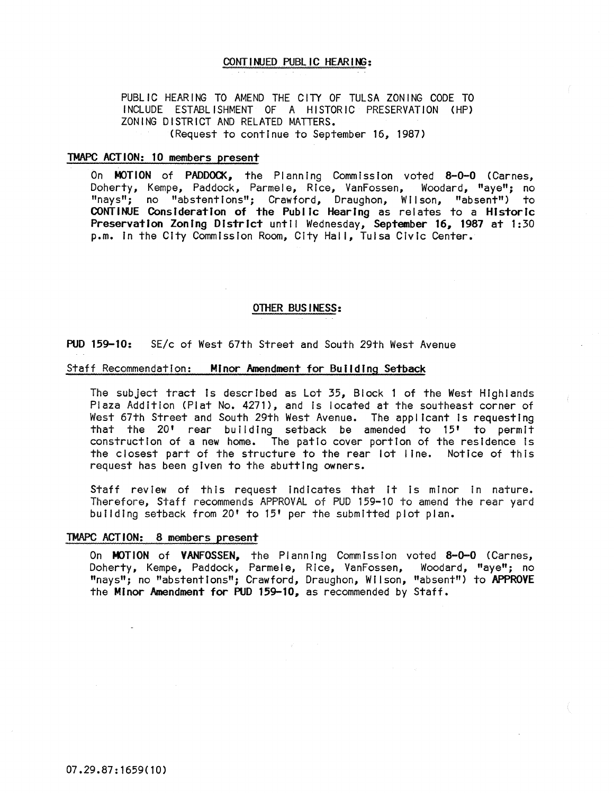# CONTINUED PUBL IC HEARING:

PUBLIC HEARING TO AMEND THE CITY OF TULSA ZONING CODE TO INCLUDE ESTABLISHMENT OF A HISTORIC PRESERVATION (HP) ZONING DISTRICT AND RELATED MATTERS. (Request to continue to September 16, 1987)

#### TMAPC ACTION: 10 members present

On MOTION of PADDOCK, the Planning Commission voted 8-0-0 (Carnes, Doherty, Kempe, Paddock, Parmele, Rice, VanFossen, Woodard, "aye"; no "nays"; no "abstentions"; Crawford, Draughon, Wilson, "absent") to CONTINUE Consideration of the Public Hearing as relates to a Historic Preservation Zoning District until Wednesday, September 16, 1987 at 1:30 p.m. in the City Commission Room, City Hall, Tulsa Civic Center.

## OTHER BUSINESS:

#### PUD 159-10: SE/c of West 67th Street and South 29th West Avenue

#### Staff Recommendation: Minor Amendment for Building Setback

The subject tract Is described as Lot 35, Block 1 of the West Highlands Plaza Addition (Plat No. 4271), and Is located at the southeast corner of West 67th Street and South 29th West Avenue. The applicant is requesting that the 20' rear building setback be amended to 15' to permit construction of a new home. The patio cover portion of the residence Is the closest part of the structure to the rear lot line. Notice of this request has been given to the abutting owners.

Staff review of this request Indicates that It is minor in nature. Therefore, Staff recommends APPROVAL of PUD 159-10 to amend the rear yard building setback from 20' to 15' per the submitted plot plan.

## TMAPC ACTION: 8 members present

On MOTION of VANFOSSEN, the Planning Commission voted 8-0-0 (Carnes, Doherty, Kempe, Paddock, Parmele, Rice, VanFossen, Woodard, "aye"; no "nays"; no "abstentions"; Crawford, Draughon, Wilson, "absent") to APPROVE the Minor Amendment for PUD 159-10, as recommended by Staff.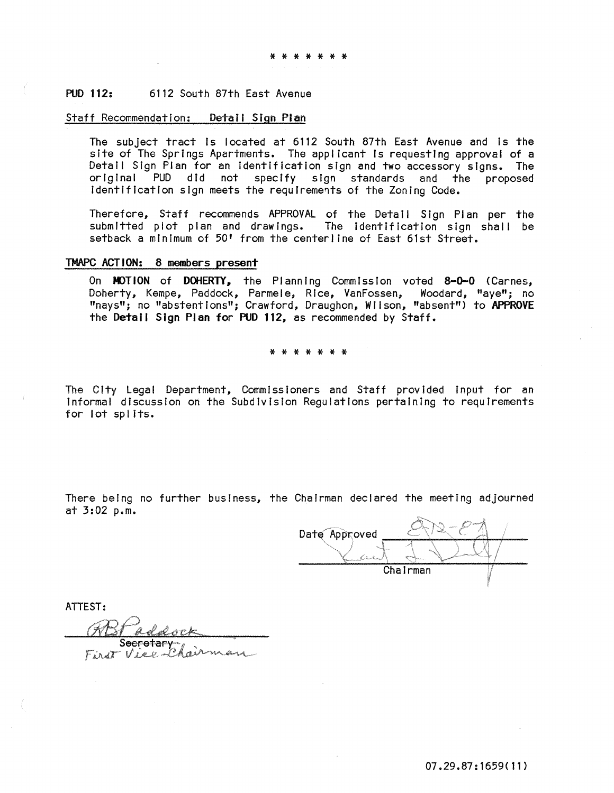# PUD 112: 6112 South 87th East Avenue

## Staff Recommendation: Detail Sign Plan

The subject tract is located at 6112 South 87th East Avenue and is the site of The Springs Apartments. The applicant Is requesting approval of a Detail Sign Plan for an Identification sign and two accessory signs. The original PUD did not specify sign standards and the proposed Identification sign meets the requirements of the Zoning Code.

Therefore, Staff recommends APPROVAL of the Detail Sign Plan per the submitted plot plan and drawings. The identification sign shall be setback a minimum of 50' from the centerline of East 61st Street.

# TMAPC ACTION: 8 members present

On MOTION of DOHERTY. the Planning Commission voted 8-0-0 (Carnes, Doherty, Kempe, Paddock, Parmele, Rice, VanFossen, Woodard, "aye"; no "nays"; no "abstentions"; Crawford, Draughon, Wilson, "absent") to APPROVE the Detail Sign Plan for PUD 112, as recommended by Staff.

#### \* \* \* \* \* \* \*

The City Legal Department, Commissioners and Staff provided input for an Informal discussion on the Subdivision Regulations pertaining to requirements for lot splits.

There being no further business, the Chairman declared the meeting adjourned at 3:02 p.m.

Date Approved Chairman I

ATTEST:

 $V$  ,  $\circ$   $\circ$  .